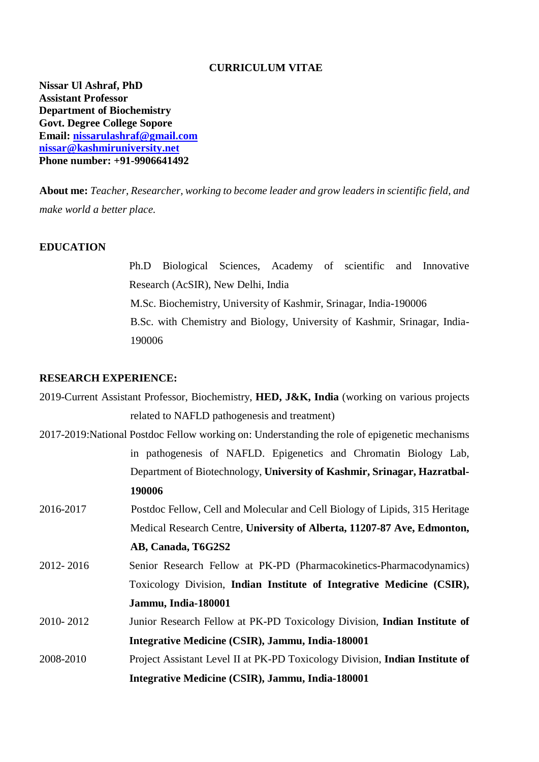### **CURRICULUM VITAE**

**Nissar Ul Ashraf, PhD Assistant Professor Department of Biochemistry Govt. Degree College Sopore Email: [nissarulashraf@gmail.com](mailto:nissarulashraf@gmail.com) nissar@kashmiruniversity.net Phone number: +91-9906641492**

**About me:** *Teacher, Researcher, working to become leader and grow leaders in scientific field, and make world a better place.*

### **EDUCATION**

Ph.D Biological Sciences, Academy of scientific and Innovative Research (AcSIR), New Delhi, India M.Sc. Biochemistry, University of Kashmir, Srinagar, India-190006 B.Sc. with Chemistry and Biology, University of Kashmir, Srinagar, India-190006

### **RESEARCH EXPERIENCE:**

|           | 2019-Current Assistant Professor, Biochemistry, HED, J&K, India (working on various projects   |
|-----------|------------------------------------------------------------------------------------------------|
|           | related to NAFLD pathogenesis and treatment)                                                   |
|           | 2017-2019: National Postdoc Fellow working on: Understanding the role of epigenetic mechanisms |
|           | in pathogenesis of NAFLD. Epigenetics and Chromatin Biology Lab,                               |
|           | Department of Biotechnology, University of Kashmir, Srinagar, Hazratbal-                       |
|           | 190006                                                                                         |
| 2016-2017 | Postdoc Fellow, Cell and Molecular and Cell Biology of Lipids, 315 Heritage                    |
|           | Medical Research Centre, University of Alberta, 11207-87 Ave, Edmonton,                        |
|           | AB, Canada, T6G2S2                                                                             |
| 2012-2016 | Senior Research Fellow at PK-PD (Pharmacokinetics-Pharmacodynamics)                            |
|           | Toxicology Division, Indian Institute of Integrative Medicine (CSIR),                          |
|           | Jammu, India-180001                                                                            |
| 2010-2012 | Junior Research Fellow at PK-PD Toxicology Division, Indian Institute of                       |
|           | Integrative Medicine (CSIR), Jammu, India-180001                                               |
| 2008-2010 | Project Assistant Level II at PK-PD Toxicology Division, Indian Institute of                   |
|           | Integrative Medicine (CSIR), Jammu, India-180001                                               |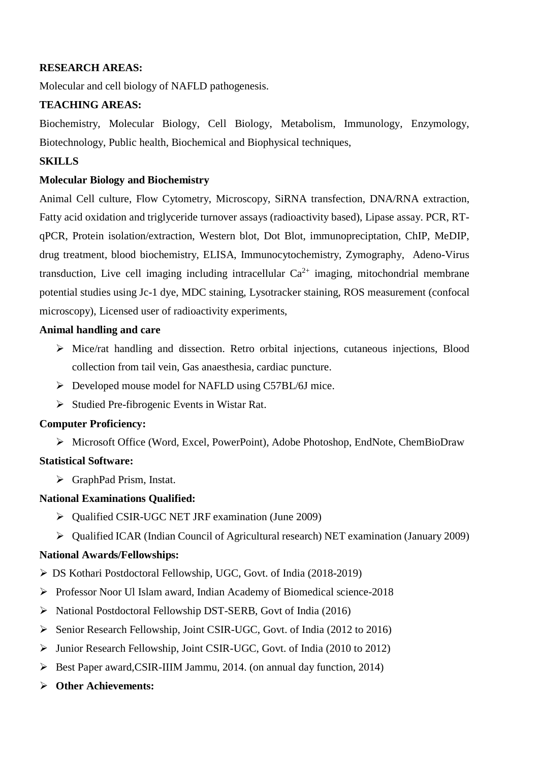## **RESEARCH AREAS:**

Molecular and cell biology of NAFLD pathogenesis.

## **TEACHING AREAS:**

Biochemistry, Molecular Biology, Cell Biology, Metabolism, Immunology, Enzymology, Biotechnology, Public health, Biochemical and Biophysical techniques,

### **SKILLS**

### **Molecular Biology and Biochemistry**

Animal Cell culture, Flow Cytometry, Microscopy, SiRNA transfection, DNA/RNA extraction, Fatty acid oxidation and triglyceride turnover assays (radioactivity based), Lipase assay. PCR, RTqPCR, Protein isolation/extraction, Western blot, Dot Blot, immunopreciptation, ChIP, MeDIP, drug treatment, blood biochemistry, ELISA, Immunocytochemistry, Zymography, Adeno-Virus transduction. Live cell imaging including intracellular  $Ca^{2+}$  imaging, mitochondrial membrane potential studies using Jc-1 dye, MDC staining, Lysotracker staining, ROS measurement (confocal microscopy), Licensed user of radioactivity experiments,

### **Animal handling and care**

- Mice/rat handling and dissection. Retro orbital injections, cutaneous injections, Blood collection from tail vein, Gas anaesthesia, cardiac puncture.
- $\triangleright$  Developed mouse model for NAFLD using C57BL/6J mice.
- $\triangleright$  Studied Pre-fibrogenic Events in Wistar Rat.

## **Computer Proficiency:**

Microsoft Office (Word, Excel, PowerPoint), Adobe Photoshop, EndNote, ChemBioDraw

## **Statistical Software:**

GraphPad Prism, Instat.

## **National Examinations Qualified:**

- Qualified CSIR-UGC NET JRF examination (June 2009)
- $\triangleright$  Qualified ICAR (Indian Council of Agricultural research) NET examination (January 2009)

## **National Awards/Fellowships:**

- DS Kothari Postdoctoral Fellowship, UGC, Govt. of India (2018-2019)
- $\triangleright$  Professor Noor Ul Islam award, Indian Academy of Biomedical science-2018
- National Postdoctoral Fellowship DST-SERB, Govt of India (2016)
- Senior Research Fellowship, Joint CSIR-UGC, Govt. of India (2012 to 2016)
- Junior Research Fellowship, Joint CSIR-UGC, Govt. of India (2010 to 2012)
- $\triangleright$  Best Paper award, CSIR-IIIM Jammu, 2014. (on annual day function, 2014)
- **Other Achievements:**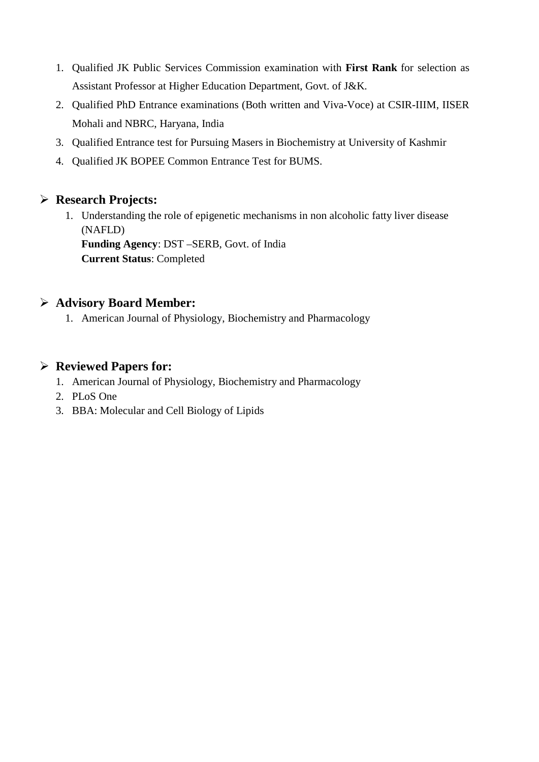- 1. Qualified JK Public Services Commission examination with **First Rank** for selection as Assistant Professor at Higher Education Department, Govt. of J&K.
- 2. Qualified PhD Entrance examinations (Both written and Viva-Voce) at CSIR-IIIM, IISER Mohali and NBRC, Haryana, India
- 3. Qualified Entrance test for Pursuing Masers in Biochemistry at University of Kashmir
- 4. Qualified JK BOPEE Common Entrance Test for BUMS.

# **Research Projects:**

1. Understanding the role of epigenetic mechanisms in non alcoholic fatty liver disease (NAFLD) **Funding Agency**: DST –SERB, Govt. of India **Current Status**: Completed

## **Advisory Board Member:**

1. American Journal of Physiology, Biochemistry and Pharmacology

## **Reviewed Papers for:**

- 1. American Journal of Physiology, Biochemistry and Pharmacology
- 2. PLoS One
- 3. BBA: Molecular and Cell Biology of Lipids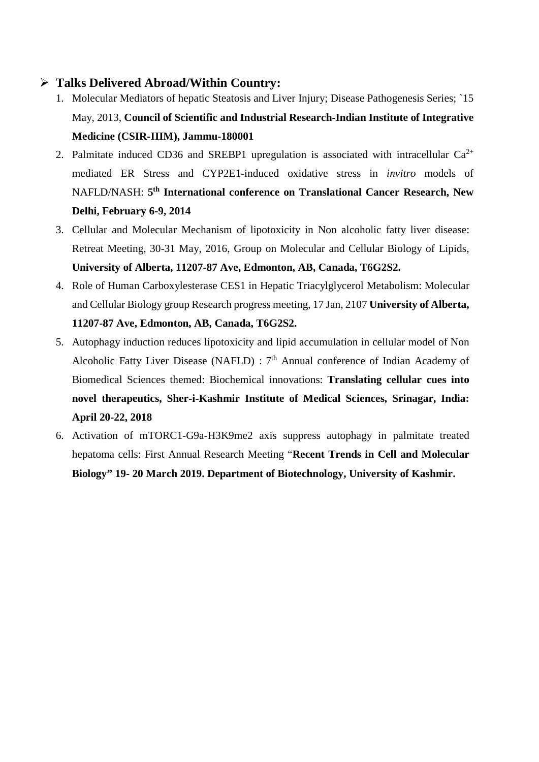## **Talks Delivered Abroad/Within Country:**

- 1. Molecular Mediators of hepatic Steatosis and Liver Injury; Disease Pathogenesis Series; `15 May, 2013, **Council of Scientific and Industrial Research-Indian Institute of Integrative Medicine (CSIR-IIIM), Jammu-180001**
- 2. Palmitate induced CD36 and SREBP1 upregulation is associated with intracellular  $Ca^{2+}$ mediated ER Stress and CYP2E1-induced oxidative stress in *invitro* models of NAFLD/NASH: **5th International conference on Translational Cancer Research, New Delhi, February 6-9, 2014**
- 3. Cellular and Molecular Mechanism of lipotoxicity in Non alcoholic fatty liver disease: Retreat Meeting, 30-31 May, 2016, Group on Molecular and Cellular Biology of Lipids, **University of Alberta, 11207-87 Ave, Edmonton, AB, Canada, T6G2S2.**
- 4. Role of Human Carboxylesterase CES1 in Hepatic Triacylglycerol Metabolism: Molecular and Cellular Biology group Research progress meeting, 17 Jan, 2107 **University of Alberta, 11207-87 Ave, Edmonton, AB, Canada, T6G2S2.**
- 5. Autophagy induction reduces lipotoxicity and lipid accumulation in cellular model of Non Alcoholic Fatty Liver Disease (NAFLD) : 7<sup>th</sup> Annual conference of Indian Academy of Biomedical Sciences themed: Biochemical innovations: **Translating cellular cues into novel therapeutics, Sher-i-Kashmir Institute of Medical Sciences, Srinagar, India: April 20-22, 2018**
- 6. Activation of mTORC1-G9a-H3K9me2 axis suppress autophagy in palmitate treated hepatoma cells: First Annual Research Meeting "**Recent Trends in Cell and Molecular Biology" 19- 20 March 2019. Department of Biotechnology, University of Kashmir.**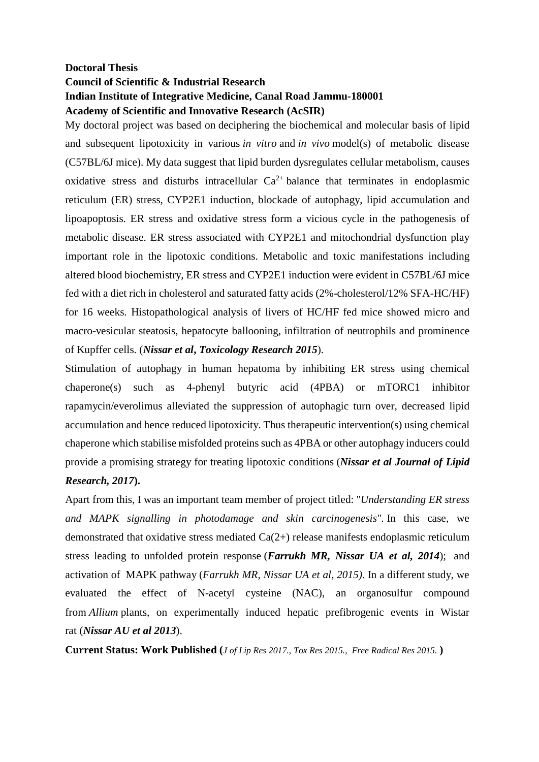## **Doctoral Thesis Council of Scientific & Industrial Research Indian Institute of Integrative Medicine, Canal Road Jammu-180001 Academy of Scientific and Innovative Research (AcSIR)**

My doctoral project was based on deciphering the biochemical and molecular basis of lipid and subsequent lipotoxicity in various *in vitro* and *in vivo* model(s) of metabolic disease (C57BL/6J mice). My data suggest that lipid burden dysregulates cellular metabolism, causes oxidative stress and disturbs intracellular  $Ca^{2+}$  balance that terminates in endoplasmic reticulum (ER) stress, CYP2E1 induction, blockade of autophagy, lipid accumulation and lipoapoptosis. ER stress and oxidative stress form a vicious cycle in the pathogenesis of metabolic disease. ER stress associated with CYP2E1 and mitochondrial dysfunction play important role in the lipotoxic conditions. Metabolic and toxic manifestations including altered blood biochemistry, ER stress and CYP2E1 induction were evident in C57BL/6J mice fed with a diet rich in cholesterol and saturated fatty acids (2%-cholesterol/12% SFA-HC/HF) for 16 weeks. Histopathological analysis of livers of HC/HF fed mice showed micro and macro-vesicular steatosis, hepatocyte ballooning, infiltration of neutrophils and prominence of Kupffer cells. (*Nissar et al***,** *Toxicology Research 2015*).

Stimulation of autophagy in human hepatoma by inhibiting ER stress using chemical chaperone(s) such as 4-phenyl butyric acid (4PBA) or mTORC1 inhibitor rapamycin/everolimus alleviated the suppression of autophagic turn over, decreased lipid accumulation and hence reduced lipotoxicity. Thus therapeutic intervention(s) using chemical chaperone which stabilise misfolded proteins such as 4PBA or other autophagy inducers could provide a promising strategy for treating lipotoxic conditions (*Nissar et al Journal of Lipid Research, 2017***).**

Apart from this, I was an important team member of project titled: "*Understanding ER stress and MAPK signalling in photodamage and skin carcinogenesis".* In this case, we demonstrated that [oxidative stress mediated Ca\(2+\) release manifests endoplasmic reticulum](http://www.ncbi.nlm.nih.gov/pubmed/24794973)  [stress leading to unfolded protein response](http://www.ncbi.nlm.nih.gov/pubmed/24794973) (*Farrukh MR, Nissar UA et al, 2014*); and activation of MAPK pathway (*[Farrukh MR, Nissar UA et al, 2015\)](http://www.ncbi.nlm.nih.gov/pubmed/24794973)*. In a different study, we evaluated the effect of N-acetyl cysteine (NAC), an organosulfur compound from *Allium* plants, on experimentally induced hepatic prefibrogenic events in Wistar rat (*Nissar AU et al 2013*).

**Current Status: Work Published (***J of Lip Res 2017., Tox Res 2015., Free Radical Res 2015.* **)**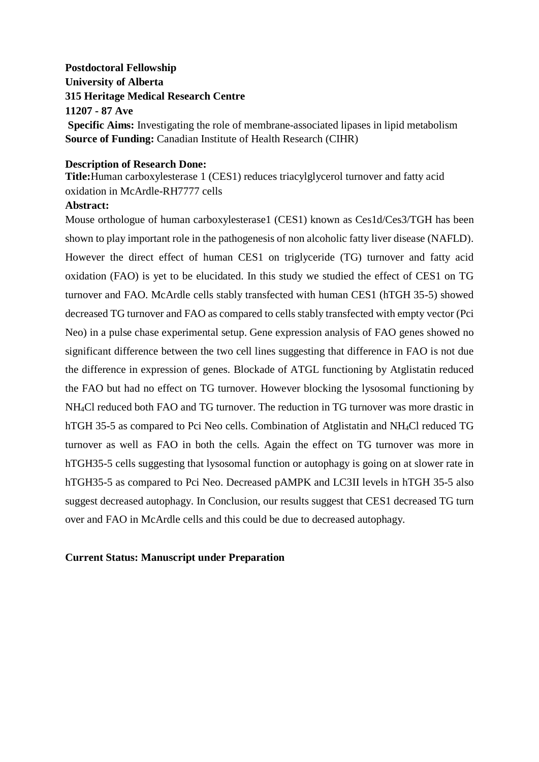## **Postdoctoral Fellowship University of Alberta 315 Heritage Medical Research Centre 11207 - 87 Ave Specific Aims:** Investigating the role of membrane-associated lipases in lipid metabolism **Source of Funding:** Canadian Institute of Health Research (CIHR)

### **Description of Research Done:**

**Title:**Human carboxylesterase 1 (CES1) reduces triacylglycerol turnover and fatty acid oxidation in McArdle-RH7777 cells

### **Abstract:**

Mouse orthologue of human carboxylesterase1 (CES1) known as Ces1d/Ces3/TGH has been shown to play important role in the pathogenesis of non alcoholic fatty liver disease (NAFLD). However the direct effect of human CES1 on triglyceride (TG) turnover and fatty acid oxidation (FAO) is yet to be elucidated. In this study we studied the effect of CES1 on TG turnover and FAO. McArdle cells stably transfected with human CES1 (hTGH 35-5) showed decreased TG turnover and FAO as compared to cells stably transfected with empty vector (Pci Neo) in a pulse chase experimental setup. Gene expression analysis of FAO genes showed no significant difference between the two cell lines suggesting that difference in FAO is not due the difference in expression of genes. Blockade of ATGL functioning by Atglistatin reduced the FAO but had no effect on TG turnover. However blocking the lysosomal functioning by NH4Cl reduced both FAO and TG turnover. The reduction in TG turnover was more drastic in hTGH 35-5 as compared to Pci Neo cells. Combination of Atglistatin and NH<sub>4</sub>Cl reduced TG turnover as well as FAO in both the cells. Again the effect on TG turnover was more in hTGH35-5 cells suggesting that lysosomal function or autophagy is going on at slower rate in hTGH35-5 as compared to Pci Neo. Decreased pAMPK and LC3II levels in hTGH 35-5 also suggest decreased autophagy. In Conclusion, our results suggest that CES1 decreased TG turn over and FAO in McArdle cells and this could be due to decreased autophagy.

## **Current Status: Manuscript under Preparation**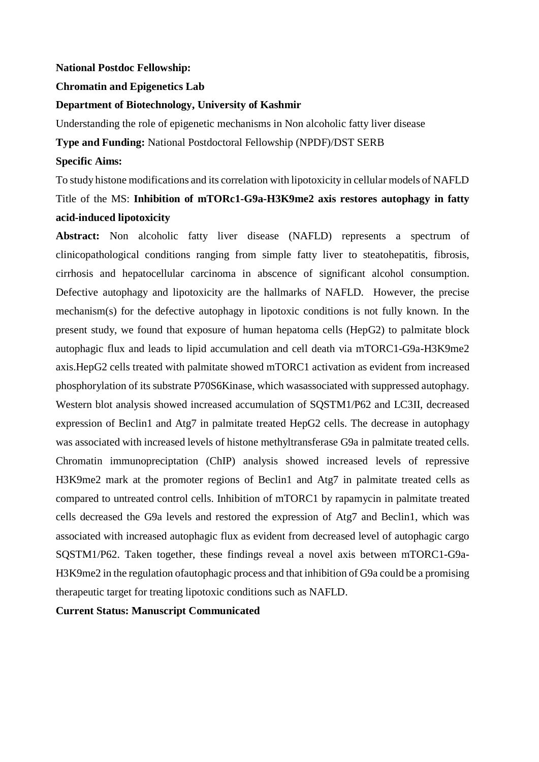### **National Postdoc Fellowship:**

#### **Chromatin and Epigenetics Lab**

#### **Department of Biotechnology, University of Kashmir**

Understanding the role of epigenetic mechanisms in Non alcoholic fatty liver disease

**Type and Funding:** National Postdoctoral Fellowship (NPDF)/DST SERB

#### **Specific Aims:**

To study histone modifications and its correlation with lipotoxicity in cellular models of NAFLD Title of the MS: **Inhibition of mTORc1-G9a-H3K9me2 axis restores autophagy in fatty acid-induced lipotoxicity**

**Abstract:** Non alcoholic fatty liver disease (NAFLD) represents a spectrum of clinicopathological conditions ranging from simple fatty liver to steatohepatitis, fibrosis, cirrhosis and hepatocellular carcinoma in abscence of significant alcohol consumption. Defective autophagy and lipotoxicity are the hallmarks of NAFLD. However, the precise mechanism(s) for the defective autophagy in lipotoxic conditions is not fully known. In the present study, we found that exposure of human hepatoma cells (HepG2) to palmitate block autophagic flux and leads to lipid accumulation and cell death via mTORC1-G9a-H3K9me2 axis.HepG2 cells treated with palmitate showed mTORC1 activation as evident from increased phosphorylation of its substrate P70S6Kinase, which wasassociated with suppressed autophagy. Western blot analysis showed increased accumulation of SQSTM1/P62 and LC3II, decreased expression of Beclin1 and Atg7 in palmitate treated HepG2 cells. The decrease in autophagy was associated with increased levels of histone methyltransferase G9a in palmitate treated cells. Chromatin immunopreciptation (ChIP) analysis showed increased levels of repressive H3K9me2 mark at the promoter regions of Beclin1 and Atg7 in palmitate treated cells as compared to untreated control cells. Inhibition of mTORC1 by rapamycin in palmitate treated cells decreased the G9a levels and restored the expression of Atg7 and Beclin1, which was associated with increased autophagic flux as evident from decreased level of autophagic cargo SQSTM1/P62. Taken together, these findings reveal a novel axis between mTORC1-G9a-H3K9me2 in the regulation ofautophagic process and that inhibition of G9a could be a promising therapeutic target for treating lipotoxic conditions such as NAFLD.

**Current Status: Manuscript Communicated**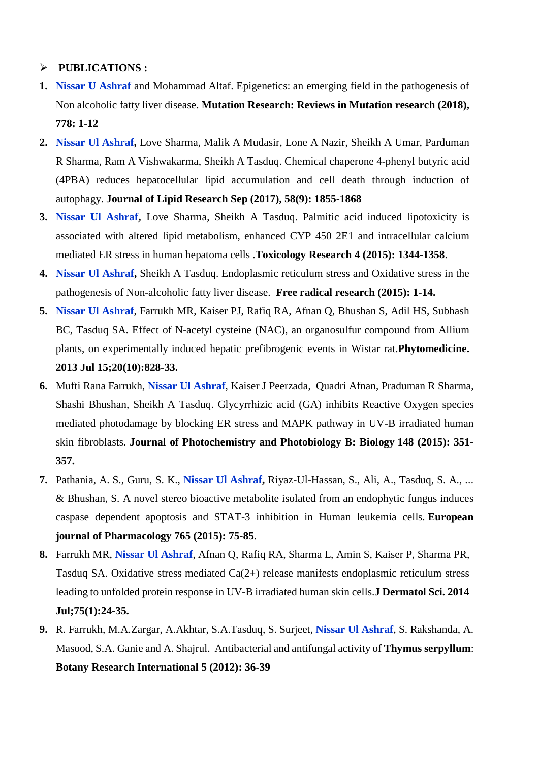## **PUBLICATIONS :**

- **1. Nissar U Ashraf** and Mohammad Altaf. Epigenetics: an emerging field in the pathogenesis of Non alcoholic fatty liver disease. **Mutation Research: Reviews in Mutation research (2018), 778: 1-12**
- **2. Nissar Ul Ashraf,** Love Sharma, Malik A Mudasir, Lone A Nazir, Sheikh A Umar, Parduman R Sharma, Ram A Vishwakarma, Sheikh A Tasduq. Chemical chaperone 4-phenyl butyric acid (4PBA) reduces hepatocellular lipid accumulation and cell death through induction of autophagy. **Journal of Lipid Research Sep (2017), 58(9): 1855-1868**
- **3. Nissar Ul Ashraf,** Love Sharma, Sheikh A Tasduq. Palmitic acid induced lipotoxicity is associated with altered lipid metabolism, enhanced CYP 450 2E1 and intracellular calcium mediated ER stress in human hepatoma cells .**Toxicology Research 4 (2015): 1344-1358**.
- **4. Nissar Ul Ashraf,** Sheikh A Tasduq. Endoplasmic reticulum stress and Oxidative stress in the pathogenesis of Non-alcoholic fatty liver disease. **Free radical research (2015): 1-14.**
- **5. Nissar Ul Ashraf**, Farrukh MR, Kaiser PJ, Rafiq RA, Afnan Q, Bhushan S, Adil HS, Subhash BC, Tasduq SA. [Effect of N-acetyl cysteine \(NAC\), an organosulfur compound from Allium](http://www.ncbi.nlm.nih.gov/pubmed/23578993)  [plants, on experimentally induced hepatic prefibrogenic events in Wistar rat.](http://www.ncbi.nlm.nih.gov/pubmed/23578993)**Phytomedicine. 2013 Jul 15;20(10):828-33.**
- **6.** Mufti Rana Farrukh, **Nissar Ul Ashraf**, Kaiser J Peerzada, Quadri Afnan, Praduman R Sharma, Shashi Bhushan, Sheikh A Tasduq. Glycyrrhizic acid (GA) inhibits Reactive Oxygen species mediated photodamage by blocking ER stress and MAPK pathway in UV-B irradiated human skin fibroblasts. **Journal of Photochemistry and Photobiology B: Biology 148 (2015): 351- 357.**
- **7.** Pathania, A. S., Guru, S. K., **Nissar Ul Ashraf,** Riyaz-Ul-Hassan, S., Ali, A., Tasduq, S. A., ... & Bhushan, S. A novel stereo bioactive metabolite isolated from an endophytic fungus induces caspase dependent apoptosis and STAT-3 inhibition in Human leukemia cells. **European journal of Pharmacology 765 (2015): 75-85**.
- **8.** Farrukh MR, **Nissar Ul Ashraf**, Afnan Q, Rafiq RA, Sharma L, Amin S, Kaiser P, Sharma PR, Tasduq SA. [Oxidative stress mediated Ca\(2+\) release manifests endoplasmic reticulum stress](http://www.ncbi.nlm.nih.gov/pubmed/24794973)  [leading to unfolded protein response in UV-B irradiated human skin cells.](http://www.ncbi.nlm.nih.gov/pubmed/24794973)**J Dermatol Sci. 2014 Jul;75(1):24-35.**
- **9.** R. Farrukh, M.A.Zargar, A.Akhtar, S.A.Tasduq, S. Surjeet, **Nissar Ul Ashraf**, S. Rakshanda, A. Masood, S.A. Ganie and A. Shajrul. Antibacterial and antifungal activity of **Thymus serpyllum**: **Botany Research International 5 (2012): 36-39**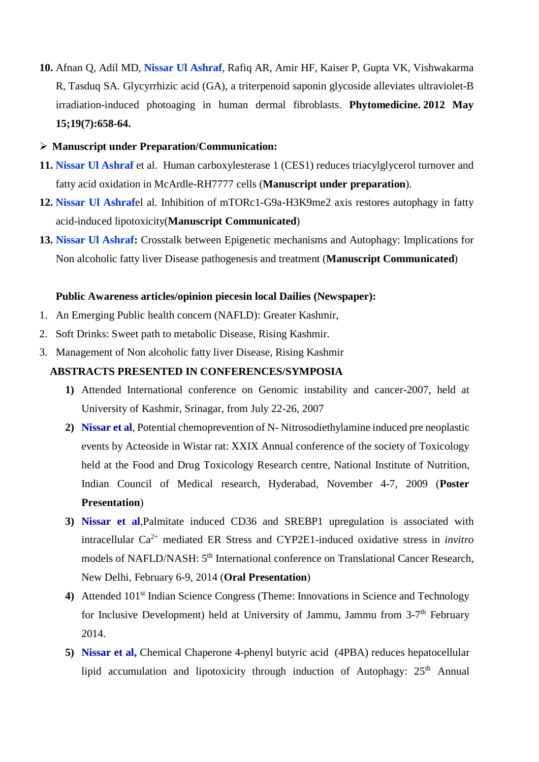- **10.** [Afnan Q,](http://www.ncbi.nlm.nih.gov/pubmed/?term=Afnan%20Q%5BAuthor%5D&cauthor=true&cauthor_uid=22516896) [Adil MD,](http://www.ncbi.nlm.nih.gov/pubmed/?term=Adil%20MD%5BAuthor%5D&cauthor=true&cauthor_uid=22516896) **[Nissar](http://www.ncbi.nlm.nih.gov/pubmed/?term=Nissar-Ul%20A%5BAuthor%5D&cauthor=true&cauthor_uid=22516896) Ul Ashraf**, [Rafiq AR,](http://www.ncbi.nlm.nih.gov/pubmed/?term=Rafiq%20AR%5BAuthor%5D&cauthor=true&cauthor_uid=22516896) [Amir HF,](http://www.ncbi.nlm.nih.gov/pubmed/?term=Amir%20HF%5BAuthor%5D&cauthor=true&cauthor_uid=22516896) [Kaiser P,](http://www.ncbi.nlm.nih.gov/pubmed/?term=Kaiser%20P%5BAuthor%5D&cauthor=true&cauthor_uid=22516896) [Gupta VK,](http://www.ncbi.nlm.nih.gov/pubmed/?term=Gupta%20VK%5BAuthor%5D&cauthor=true&cauthor_uid=22516896) [Vishwakarma](http://www.ncbi.nlm.nih.gov/pubmed/?term=Vishwakarma%20R%5BAuthor%5D&cauthor=true&cauthor_uid=22516896)  [R,](http://www.ncbi.nlm.nih.gov/pubmed/?term=Vishwakarma%20R%5BAuthor%5D&cauthor=true&cauthor_uid=22516896) [Tasduq SA.](http://www.ncbi.nlm.nih.gov/pubmed/?term=Tasduq%20SA%5BAuthor%5D&cauthor=true&cauthor_uid=22516896) Glycyrrhizic acid (GA), a triterpenoid saponin glycoside alleviates ultraviolet-B irradiation-induced photoaging in human dermal fibroblasts. **[Phytomedicine.](http://www.ncbi.nlm.nih.gov/pubmed/?term=Nissar+ul+Ashraf%2C+Indian+Institute+of+Integrative+medicine) 2012 May 15;19(7):658-64.**
- **Manuscript under Preparation/Communication:**
- **11. Nissar Ul Ashraf** et al. Human carboxylesterase 1 (CES1) reduces triacylglycerol turnover and fatty acid oxidation in McArdle-RH7777 cells (**Manuscript under preparation**).
- **12. Nissar Ul Ashraf**el al. Inhibition of mTORc1-G9a-H3K9me2 axis restores autophagy in fatty acid-induced lipotoxicity(**Manuscript Communicated**)
- **13. Nissar Ul Ashraf:** Crosstalk between Epigenetic mechanisms and Autophagy: Implications for Non alcoholic fatty liver Disease pathogenesis and treatment (**Manuscript Communicated**)

### **Public Awareness articles/opinion piecesin local Dailies (Newspaper):**

- 1. An Emerging Public health concern (NAFLD): Greater Kashmir,
- 2. Soft Drinks: Sweet path to metabolic Disease, Rising Kashmir.
- 3. Management of Non alcoholic fatty liver Disease, Rising Kashmir

## **ABSTRACTS PRESENTED IN CONFERENCES/SYMPOSIA**

- **1)** Attended International conference on Genomic instability and cancer-2007, held at University of Kashmir, Srinagar, from July 22-26, 2007
- **2) Nissar et al**, Potential chemoprevention of N- Nitrosodiethylamine induced pre neoplastic events by Acteoside in Wistar rat: XXIX Annual conference of the society of Toxicology held at the Food and Drug Toxicology Research centre, National Institute of Nutrition, Indian Council of Medical research, Hyderabad, November 4-7, 2009 (**Poster Presentation**)
- **3) Nissar et al**,Palmitate induced CD36 and SREBP1 upregulation is associated with intracellular Ca2+ mediated ER Stress and CYP2E1-induced oxidative stress in *invitro* models of NAFLD/NASH: 5<sup>th</sup> International conference on Translational Cancer Research, New Delhi, February 6-9, 2014 (**Oral Presentation**)
- 4) Attended 101<sup>st</sup> Indian Science Congress (Theme: Innovations in Science and Technology for Inclusive Development) held at University of Jammu, Jammu from 3-7th February 2014.
- **5) Nissar et al,** Chemical Chaperone 4-phenyl butyric acid (4PBA) reduces hepatocellular lipid accumulation and lipotoxicity through induction of Autophagy: 25<sup>th</sup> Annual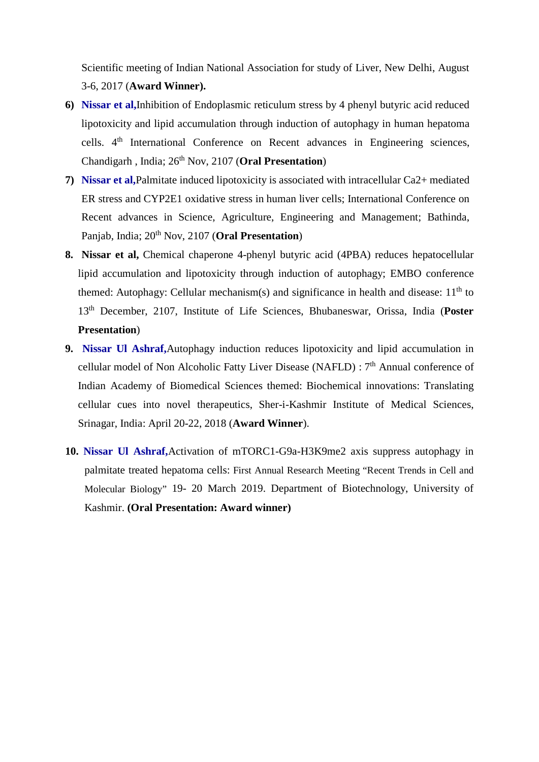Scientific meeting of Indian National Association for study of Liver, New Delhi, August 3-6, 2017 (**Award Winner).**

- **6) Nissar et al,**Inhibition of Endoplasmic reticulum stress by 4 phenyl butyric acid reduced lipotoxicity and lipid accumulation through induction of autophagy in human hepatoma cells. 4th International Conference on Recent advances in Engineering sciences, Chandigarh , India; 26th Nov, 2107 (**Oral Presentation**)
- **7) Nissar et al,**Palmitate induced lipotoxicity is associated with intracellular Ca2+ mediated ER stress and CYP2E1 oxidative stress in human liver cells; International Conference on Recent advances in Science, Agriculture, Engineering and Management; Bathinda, Panjab, India; 20<sup>th</sup> Nov, 2107 (**Oral Presentation**)
- **8. Nissar et al,** Chemical chaperone 4-phenyl butyric acid (4PBA) reduces hepatocellular lipid accumulation and lipotoxicity through induction of autophagy; EMBO conference themed: Autophagy: Cellular mechanism(s) and significance in health and disease:  $11<sup>th</sup>$  to 13th December, 2107, Institute of Life Sciences, Bhubaneswar, Orissa, India (**Poster Presentation**)
- **9. Nissar Ul Ashraf,**Autophagy induction reduces lipotoxicity and lipid accumulation in cellular model of Non Alcoholic Fatty Liver Disease (NAFLD) : 7<sup>th</sup> Annual conference of Indian Academy of Biomedical Sciences themed: Biochemical innovations: Translating cellular cues into novel therapeutics, Sher-i-Kashmir Institute of Medical Sciences, Srinagar, India: April 20-22, 2018 (**Award Winner**).
- **10. Nissar Ul Ashraf,**Activation of mTORC1-G9a-H3K9me2 axis suppress autophagy in palmitate treated hepatoma cells: First Annual Research Meeting "Recent Trends in Cell and Molecular Biology" 19- 20 March 2019. Department of Biotechnology, University of Kashmir. **(Oral Presentation: Award winner)**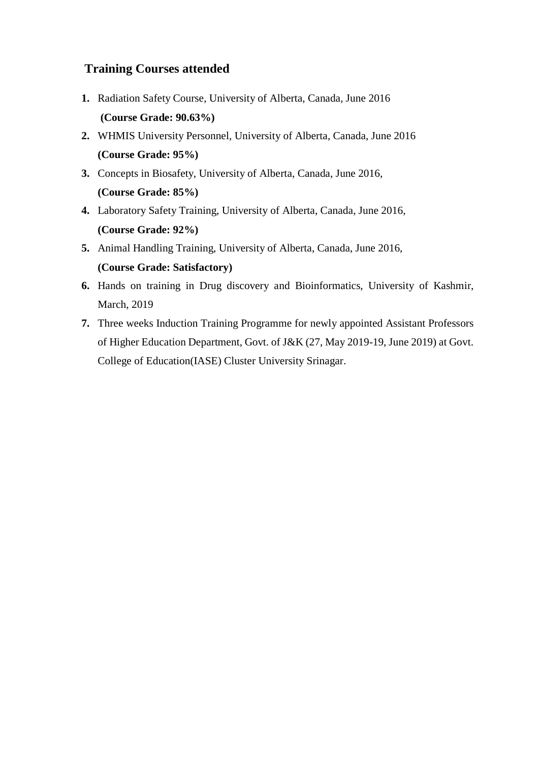# **Training Courses attended**

- **1.** Radiation Safety Course, University of Alberta, Canada, June 2016 **(Course Grade: 90.63%)**
- **2.** WHMIS University Personnel, University of Alberta, Canada, June 2016 **(Course Grade: 95%)**
- **3.** Concepts in Biosafety, University of Alberta, Canada, June 2016, **(Course Grade: 85%)**
- **4.** Laboratory Safety Training, University of Alberta, Canada, June 2016, **(Course Grade: 92%)**
- **5.** Animal Handling Training, University of Alberta, Canada, June 2016, **(Course Grade: Satisfactory)**
- **6.** Hands on training in Drug discovery and Bioinformatics, University of Kashmir, March, 2019
- **7.** Three weeks Induction Training Programme for newly appointed Assistant Professors of Higher Education Department, Govt. of J&K (27, May 2019-19, June 2019) at Govt. College of Education(IASE) Cluster University Srinagar.